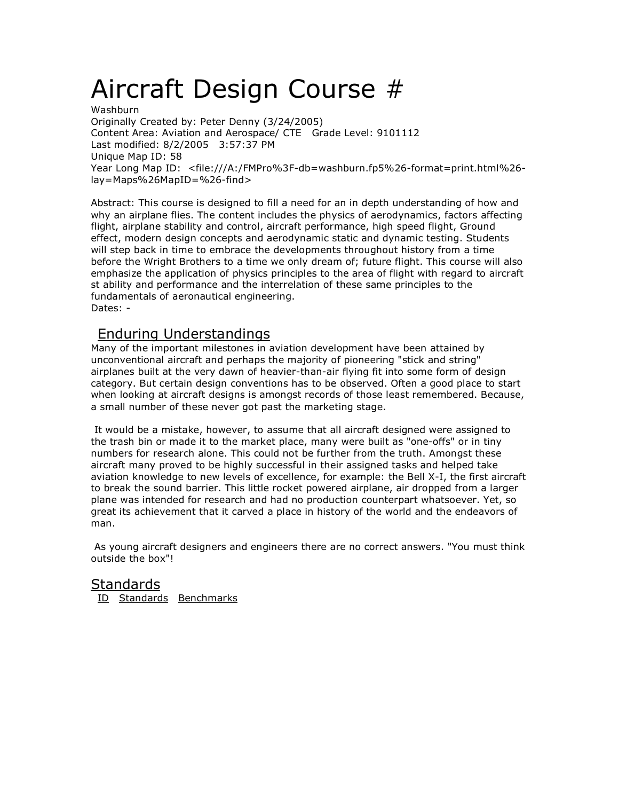# Aircraft Design Course #

**Washburn** Originally Created by: Peter Denny (3/24/2005) Content Area: Aviation and Aerospace/ CTE Grade Level: 9101112 Last modified: 8/2/2005 3:57:37 PM Unique Map ID: 58 Year Long Map ID: <file:///A:/FMPro%3F-db=washburn.fp5%26-format=print.html%26 lay=Maps%26MapID=%26-find>

Abstract: This course is designed to fill a need for an in depth understanding of how and why an airplane flies. The content includes the physics of aerodynamics, factors affecting flight, airplane stability and control, aircraft performance, high speed flight, Ground effect, modern design concepts and aerodynamic static and dynamic testing. Students will step back in time to embrace the developments throughout history from a time before the Wright Brothers to a time we only dream of; future flight. This course will also emphasize the application of physics principles to the area of flight with regard to aircraft st ability and performance and the interrelation of these same principles to the fundamentals of aeronautical engineering. Dates: -

## Enduring Understandings

Many of the important milestones in aviation development have been attained by unconventional aircraft and perhaps the majority of pioneering "stick and string" airplanes built at the very dawn of heavier-than-air flying fit into some form of design category. But certain design conventions has to be observed. Often a good place to start when looking at aircraft designs is amongst records of those least remembered. Because, a small number of these never got past the marketing stage.

It would be a mistake, however, to assume that all aircraft designed were assigned to the trash bin or made it to the market place, many were built as "one-offs" or in tiny numbers for research alone. This could not be further from the truth. Amongst these aircraft many proved to be highly successful in their assigned tasks and helped take aviation knowledge to new levels of excellence, for example: the Bell X-I, the first aircraft to break the sound barrier. This little rocket powered airplane, air dropped from a larger plane was intended for research and had no production counterpart whatsoever. Yet, so great its achievement that it carved a place in history of the world and the endeavors of man.

As young aircraft designers and engineers there are no correct answers. "You must think outside the box"!

### Standards

ID Standards Benchmarks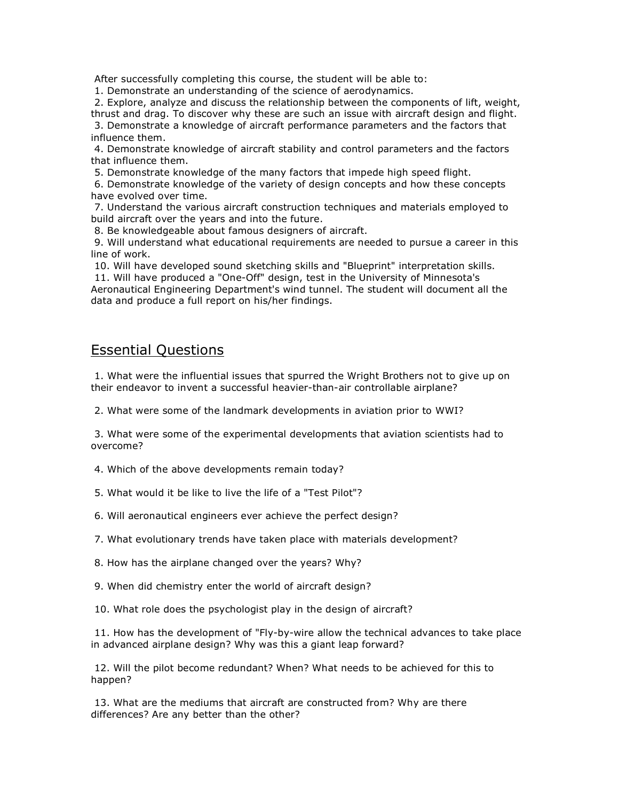After successfully completing this course, the student will be able to:

1. Demonstrate an understanding of the science of aerodynamics.

2. Explore, analyze and discuss the relationship between the components of lift, weight, thrust and drag. To discover why these are such an issue with aircraft design and flight. 3. Demonstrate a knowledge of aircraft performance parameters and the factors that influence them.

4. Demonstrate knowledge of aircraft stability and control parameters and the factors that influence them.

5. Demonstrate knowledge of the many factors that impede high speed flight.

6. Demonstrate knowledge of the variety of design concepts and how these concepts have evolved over time.

7. Understand the various aircraft construction techniques and materials employed to build aircraft over the years and into the future.

8. Be knowledgeable about famous designers of aircraft.

9. Will understand what educational requirements are needed to pursue a career in this line of work.

10. Will have developed sound sketching skills and "Blueprint" interpretation skills. 11. Will have produced a "One-Off" design, test in the University of Minnesota's Aeronautical Engineering Department's wind tunnel. The student will document all the data and produce a full report on his/her findings.

## Essential Questions

1. What were the influential issues that spurred the Wright Brothers not to give up on their endeavor to invent a successful heavier-than-air controllable airplane?

2. What were some of the landmark developments in aviation prior to WWI?

3. What were some of the experimental developments that aviation scientists had to overcome?

4. Which of the above developments remain today?

5. What would it be like to live the life of a "Test Pilot"?

6. Will aeronautical engineers ever achieve the perfect design?

7. What evolutionary trends have taken place with materials development?

8. How has the airplane changed over the years? Why?

9. When did chemistry enter the world of aircraft design?

10. What role does the psychologist play in the design of aircraft?

11. How has the development of "Fly-by-wire allow the technical advances to take place in advanced airplane design? Why was this a giant leap forward?

12. Will the pilot become redundant? When? What needs to be achieved for this to happen?

13. What are the mediums that aircraft are constructed from? Why are there differences? Are any better than the other?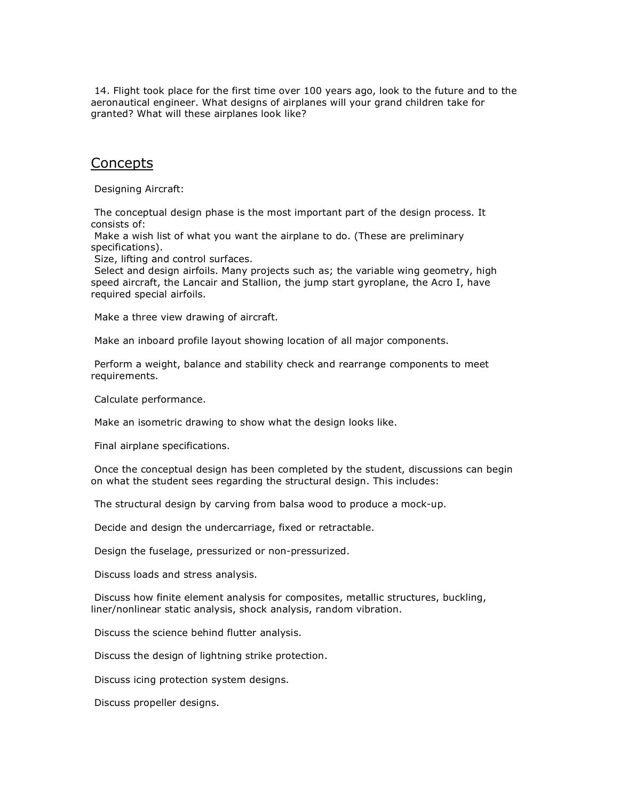14. Flight took place for the first time over 100 years ago, look to the future and to the aeronautical engineer. What designs of airplanes will your grand children take for granted? What will these airplanes look like?

## **Concepts**

Designing Aircraft:

The conceptual design phase is the most important part of the design process. It consists of:

Make a wish list of what you want the airplane to do. (These are preliminary specifications).

Size, lifting and control surfaces.

Select and design airfoils. Many projects such as; the variable wing geometry, high speed aircraft, the Lancair and Stallion, the jump start gyroplane, the Acro I, have required special airfoils.

Make a three view drawing of aircraft.

Make an inboard profile layout showing location of all major components.

Perform a weight, balance and stability check and rearrange components to meet requirements.

Calculate performance.

Make an isometric drawing to show what the design looks like.

Final airplane specifications.

Once the conceptual design has been completed by the student, discussions can begin on what the student sees regarding the structural design. This includes:

The structural design by carving from balsa wood to produce a mock-up.

Decide and design the undercarriage, fixed or retractable.

Design the fuselage, pressurized or non-pressurized.

Discuss loads and stress analysis.

Discuss how finite element analysis for composites, metallic structures, buckling, liner/nonlinear static analysis, shock analysis, random vibration.

Discuss the science behind flutter analysis.

Discuss the design of lightning strike protection.

Discuss icing protection system designs.

Discuss propeller designs.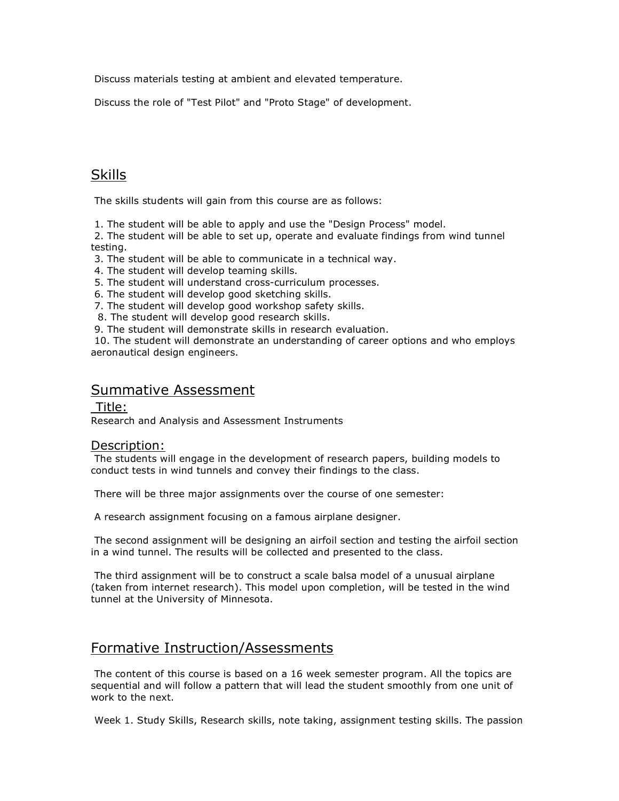Discuss materials testing at ambient and elevated temperature.

Discuss the role of "Test Pilot" and "Proto Stage" of development.

## **Skills**

The skills students will gain from this course are as follows:

1. The student will be able to apply and use the "Design Process" model.

2. The student will be able to set up, operate and evaluate findings from wind tunnel testing.

3. The student will be able to communicate in a technical way.

- 4. The student will develop teaming skills.
- 5. The student will understand cross-curriculum processes.
- 6. The student will develop good sketching skills.
- 7. The student will develop good workshop safety skills.
- 8. The student will develop good research skills.
- 9. The student will demonstrate skills in research evaluation.

10. The student will demonstrate an understanding of career options and who employs aeronautical design engineers.

## Summative Assessment

#### Title:

Research and Analysis and Assessment Instruments

#### Description:

The students will engage in the development of research papers, building models to conduct tests in wind tunnels and convey their findings to the class.

There will be three major assignments over the course of one semester:

A research assignment focusing on a famous airplane designer.

The second assignment will be designing an airfoil section and testing the airfoil section in a wind tunnel. The results will be collected and presented to the class.

The third assignment will be to construct a scale balsa model of a unusual airplane (taken from internet research). This model upon completion, will be tested in the wind tunnel at the University of Minnesota.

## Formative Instruction/Assessments

The content of this course is based on a 16 week semester program. All the topics are sequential and will follow a pattern that will lead the student smoothly from one unit of work to the next.

Week 1. Study Skills, Research skills, note taking, assignment testing skills. The passion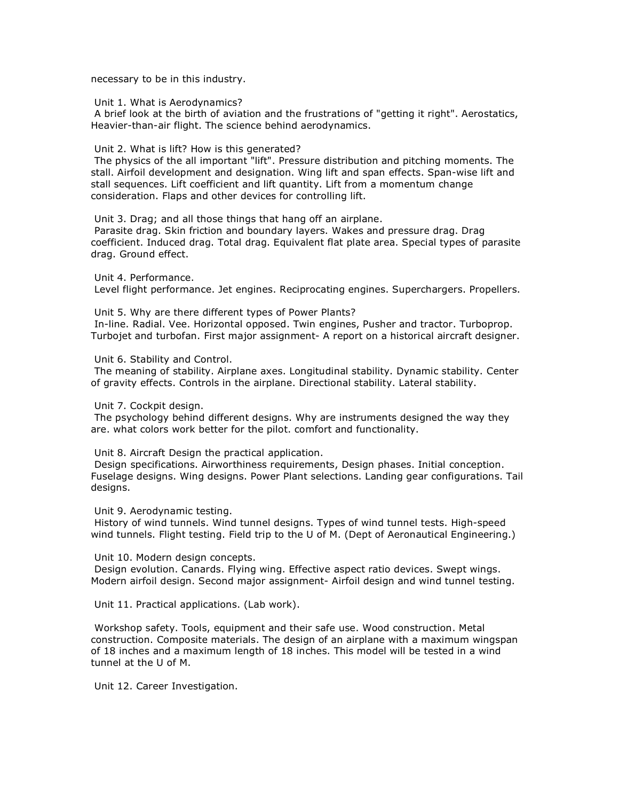necessary to be in this industry.

#### Unit 1. What is Aerodynamics?

A brief look at the birth of aviation and the frustrations of "getting it right". Aerostatics, Heavier-than-air flight. The science behind aerodynamics.

#### Unit 2. What is lift? How is this generated?

The physics of the all important "lift". Pressure distribution and pitching moments. The stall. Airfoil development and designation. Wing lift and span effects. Span-wise lift and stall sequences. Lift coefficient and lift quantity. Lift from a momentum change consideration. Flaps and other devices for controlling lift.

Unit 3. Drag; and all those things that hang off an airplane.

Parasite drag. Skin friction and boundary layers. Wakes and pressure drag. Drag coefficient. Induced drag. Total drag. Equivalent flat plate area. Special types of parasite drag. Ground effect.

Unit 4. Performance. Level flight performance. Jet engines. Reciprocating engines. Superchargers. Propellers.

Unit 5. Why are there different types of Power Plants? In-line. Radial. Vee. Horizontal opposed. Twin engines, Pusher and tractor. Turboprop. Turbojet and turbofan. First major assignment- A report on a historical aircraft designer.

Unit 6. Stability and Control.

The meaning of stability. Airplane axes. Longitudinal stability. Dynamic stability. Center of gravity effects. Controls in the airplane. Directional stability. Lateral stability.

Unit 7. Cockpit design.

The psychology behind different designs. Why are instruments designed the way they are. what colors work better for the pilot. comfort and functionality.

Unit 8. Aircraft Design the practical application.

Design specifications. Airworthiness requirements, Design phases. Initial conception. Fuselage designs. Wing designs. Power Plant selections. Landing gear configurations. Tail designs.

Unit 9. Aerodynamic testing.

History of wind tunnels. Wind tunnel designs. Types of wind tunnel tests. High-speed wind tunnels. Flight testing. Field trip to the U of M. (Dept of Aeronautical Engineering.)

Unit 10. Modern design concepts.

Design evolution. Canards. Flying wing. Effective aspect ratio devices. Swept wings. Modern airfoil design. Second major assignment- Airfoil design and wind tunnel testing.

Unit 11. Practical applications. (Lab work).

Workshop safety. Tools, equipment and their safe use. Wood construction. Metal construction. Composite materials. The design of an airplane with a maximum wingspan of 18 inches and a maximum length of 18 inches. This model will be tested in a wind tunnel at the U of M.

Unit 12. Career Investigation.